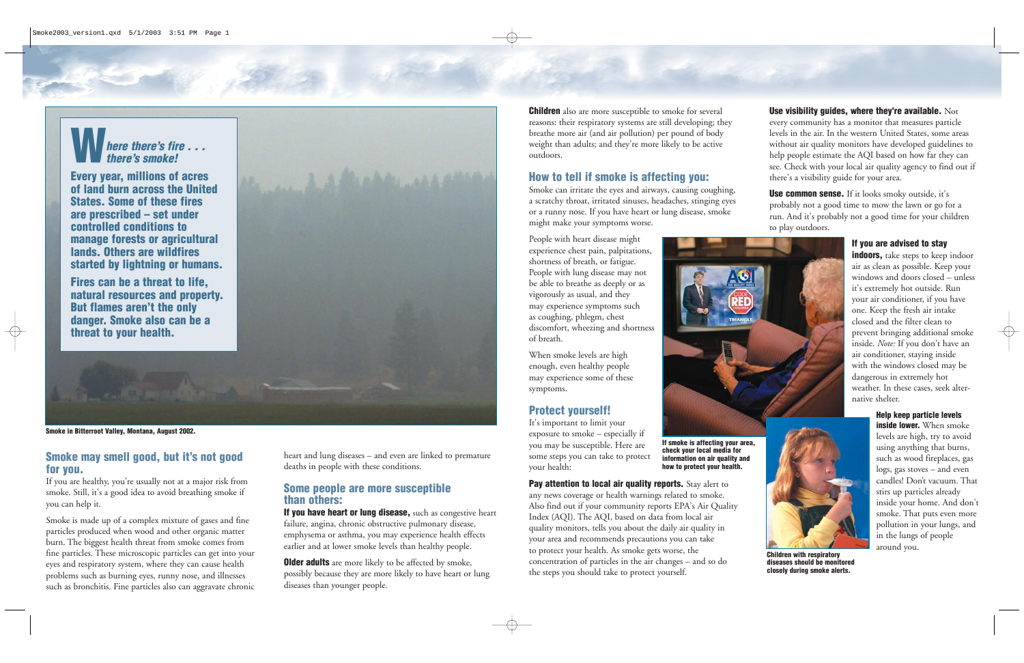**Use visibility guides, where they're available.** Not every community has a monitor that measures particle levels in the air. In the western United States, some areas without air quality monitors have developed guidelines to help people estimate the AQI based on how far they can see. Check with your local air quality agency to find out if there's a visibility guide for your area.

**Use common sense.** If it looks smoky outside, it's probably not a good time to mow the lawn or go for a run. And it's probably not a good time for your children to play outdoors.

> **indoors**, take steps to keep indoor air as clean as possible. Keep your windows and doors closed – unless it's extremely hot outside. Run your air conditioner, if you have one. Keep the fresh air intake closed and the filter clean to prevent bringing additional smoke inside. *Note:* If you don't have an air conditioner, staying inside with the windows closed may be dangerous in extremely hot weather. In these cases, seek alternative shelter.

#### **If you are advised to stay**

**If you have heart or lung disease,** such as congestive heart failure, angina, chronic obstructive pulmonary disease, emphysema or asthma, you may experience health effects earlier and at lower smoke levels than healthy people.

**Help keep particle levels inside lower.** When smoke levels are high, try to avoid using anything that burns, such as wood fireplaces, gas logs, gas stoves – and even candles! Don't vacuum. That stirs up particles already inside your home. And don't smoke. That puts even more pollution in your lungs, and in the lungs of people around you.

**Older adults** are more likely to be affected by smoke, possibly because they are more likely to have heart or lung diseases than younger people.

**Children** also are more susceptible to smoke for several reasons: their respiratory systems are still developing; they breathe more air (and air pollution) per pound of body weight than adults; and they're more likely to be active outdoors.

## **Smoke may smell good, but it's not good for you.**

If you are healthy, you're usually not at a major risk from smoke. Still, it's a good idea to avoid breathing smoke if you can help it.

Smoke is made up of a complex mixture of gases and fine particles produced when wood and other organic matter burn. The biggest health threat from smoke comes from fine particles. These microscopic particles can get into your eyes and respiratory system, where they can cause health problems such as burning eyes, runny nose, and illnesses such as bronchitis. Fine particles also can aggravate chronic heart and lung diseases – and even are linked to premature deaths in people with these conditions.

> **Pay attention to local air quality reports.** Stay alert to any news coverage or health warnings related to smoke. Also find out if your community reports EPA's Air Quality Index (AQI). The AQI, based on data from local air quality monitors, tells you about the daily air quality in your area and recommends precautions you can take to protect your health. As smoke gets worse, the concentration of particles in the air changes – and so do the steps you should take to protect yourself.



#### **Some people are more susceptible than others:**

### **How to tell if smoke is affecting you:**

Smoke can irritate the eyes and airways, causing coughing, a scratchy throat, irritated sinuses, headaches, stinging eyes or a runny nose. If you have heart or lung disease, smoke might make your symptoms worse.

People with heart disease might experience chest pain, palpitations, shortness of breath, or fatigue. People with lung disease may not be able to breathe as deeply or as vigorously as usual, and they may experience symptoms such as coughing, phlegm, chest discomfort, wheezing and shortness of breath.

When smoke levels are high enough, even healthy people may experience some of these symptoms.

### **Protect yourself!**

It's important to limit your exposure to smoke – especially if you may be susceptible. Here are some steps you can take to protect your health:

**If smoke is affecting your area, check your local media for information on air quality and how to protect your health.**

**Smoke in Bitterroot Valley, Montana, August 2002.**

 $\bigoplus$ 

# **Where there's fire . . . there's smoke!**

**Every year, millions of acres of land burn across the United States. Some of these fires are prescribed – set under controlled conditions to manage forests or agricultural lands. Others are wildfires started by lightning or humans.**

**Fires can be a threat to life, natural resources and property. But flames aren't the only danger. Smoke also can be a threat to your health.**





**Children with respiratory diseases should be monitored closely during smoke alerts.**